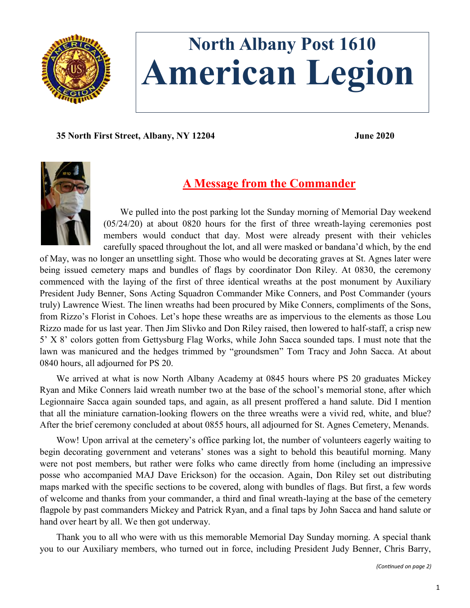

# **North Albany Post 1610 American Legion**

**35 North First Street, Albany, NY 12204 June 2020**



# **A Message from the Commander**

We pulled into the post parking lot the Sunday morning of Memorial Day weekend (05/24/20) at about 0820 hours for the first of three wreath-laying ceremonies post members would conduct that day. Most were already present with their vehicles carefully spaced throughout the lot, and all were masked or bandana'd which, by the end

of May, was no longer an unsettling sight. Those who would be decorating graves at St. Agnes later were being issued cemetery maps and bundles of flags by coordinator Don Riley. At 0830, the ceremony commenced with the laying of the first of three identical wreaths at the post monument by Auxiliary President Judy Benner, Sons Acting Squadron Commander Mike Conners, and Post Commander (yours truly) Lawrence Wiest. The linen wreaths had been procured by Mike Conners, compliments of the Sons, from Rizzo's Florist in Cohoes. Let's hope these wreaths are as impervious to the elements as those Lou Rizzo made for us last year. Then Jim Slivko and Don Riley raised, then lowered to half-staff, a crisp new 5' X 8' colors gotten from Gettysburg Flag Works, while John Sacca sounded taps. I must note that the lawn was manicured and the hedges trimmed by "groundsmen" Tom Tracy and John Sacca. At about 0840 hours, all adjourned for PS 20.

We arrived at what is now North Albany Academy at 0845 hours where PS 20 graduates Mickey Ryan and Mike Conners laid wreath number two at the base of the school's memorial stone, after which Legionnaire Sacca again sounded taps, and again, as all present proffered a hand salute. Did I mention that all the miniature carnation-looking flowers on the three wreaths were a vivid red, white, and blue? After the brief ceremony concluded at about 0855 hours, all adjourned for St. Agnes Cemetery, Menands.

Wow! Upon arrival at the cemetery's office parking lot, the number of volunteers eagerly waiting to begin decorating government and veterans' stones was a sight to behold this beautiful morning. Many were not post members, but rather were folks who came directly from home (including an impressive posse who accompanied MAJ Dave Erickson) for the occasion. Again, Don Riley set out distributing maps marked with the specific sections to be covered, along with bundles of flags. But first, a few words of welcome and thanks from your commander, a third and final wreath-laying at the base of the cemetery flagpole by past commanders Mickey and Patrick Ryan, and a final taps by John Sacca and hand salute or hand over heart by all. We then got underway.

Thank you to all who were with us this memorable Memorial Day Sunday morning. A special thank you to our Auxiliary members, who turned out in force, including President Judy Benner, Chris Barry,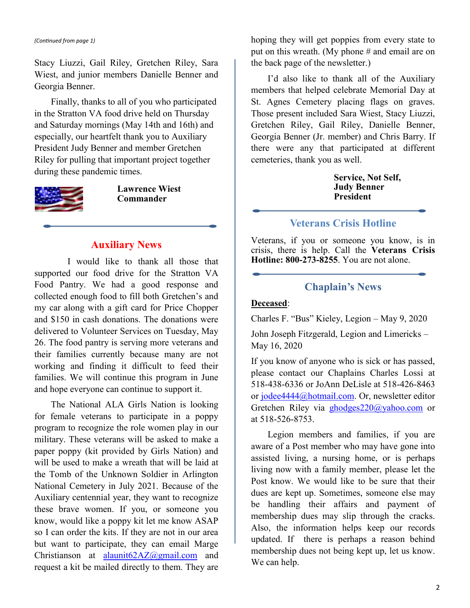#### *(Continued from page 1)*

Stacy Liuzzi, Gail Riley, Gretchen Riley, Sara Wiest, and junior members Danielle Benner and Georgia Benner.

Finally, thanks to all of you who participated in the Stratton VA food drive held on Thursday and Saturday mornings (May 14th and 16th) and especially, our heartfelt thank you to Auxiliary President Judy Benner and member Gretchen Riley for pulling that important project together during these pandemic times.



**Lawrence Wiest Commander**

#### **Auxiliary News**

I would like to thank all those that supported our food drive for the Stratton VA Food Pantry. We had a good response and collected enough food to fill both Gretchen's and my car along with a gift card for Price Chopper and \$150 in cash donations. The donations were delivered to Volunteer Services on Tuesday, May 26. The food pantry is serving more veterans and their families currently because many are not working and finding it difficult to feed their families. We will continue this program in June and hope everyone can continue to support it.

The National ALA Girls Nation is looking for female veterans to participate in a poppy program to recognize the role women play in our military. These veterans will be asked to make a paper poppy (kit provided by Girls Nation) and will be used to make a wreath that will be laid at the Tomb of the Unknown Soldier in Arlington National Cemetery in July 2021. Because of the Auxiliary centennial year, they want to recognize these brave women. If you, or someone you know, would like a poppy kit let me know ASAP so I can order the kits. If they are not in our area but want to participate, they can email Marge Christianson at [alaunit62AZ@gmail.com](mailto:alaunit62AZ@gmail.com) and request a kit be mailed directly to them. They are

hoping they will get poppies from every state to put on this wreath. (My phone # and email are on the back page of the newsletter.)

I'd also like to thank all of the Auxiliary members that helped celebrate Memorial Day at St. Agnes Cemetery placing flags on graves. Those present included Sara Wiest, Stacy Liuzzi, Gretchen Riley, Gail Riley, Danielle Benner, Georgia Benner (Jr. member) and Chris Barry. If there were any that participated at different cemeteries, thank you as well.

> **Service, Not Self, Judy Benner President**

### **Veterans Crisis Hotline**

Veterans, if you or someone you know, is in crisis, there is help. Call the **Veterans Crisis Hotline: 800-273-8255**. You are not alone.

#### **Chaplain's News**

#### **Deceased**:

Charles F. "Bus" Kieley, Legion – May 9, 2020

John Joseph Fitzgerald, Legion and Limericks – May 16, 2020

If you know of anyone who is sick or has passed, please contact our Chaplains Charles Lossi at 518-438-6336 or JoAnn DeLisle at 518-426-8463 or [jodee4444@hotmail.com.](mailto:jodee4444@hotmail.com) Or, newsletter editor Gretchen Riley via [ghodges220@yahoo.com](mailto:ghodges220@yahoo.com) or at 518-526-8753.

Legion members and families, if you are aware of a Post member who may have gone into assisted living, a nursing home, or is perhaps living now with a family member, please let the Post know. We would like to be sure that their dues are kept up. Sometimes, someone else may be handling their affairs and payment of membership dues may slip through the cracks. Also, the information helps keep our records updated. If there is perhaps a reason behind membership dues not being kept up, let us know. We can help.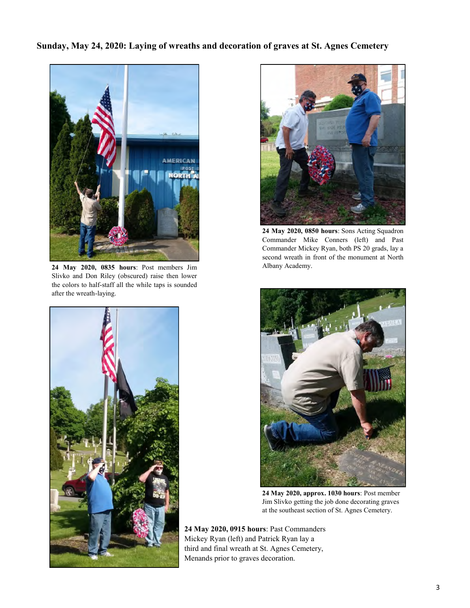#### **Sunday, May 24, 2020: Laying of wreaths and decoration of graves at St. Agnes Cemetery**



**24 May 2020, 0835 hours**: Post members Jim Slivko and Don Riley (obscured) raise then lower the colors to half-staff all the while taps is sounded after the wreath-laying.





**24 May 2020, 0850 hours**: Sons Acting Squadron Commander Mike Conners (left) and Past Commander Mickey Ryan, both PS 20 grads, lay a second wreath in front of the monument at North Albany Academy.



**24 May 2020, approx. 1030 hours**: Post member Jim Slivko getting the job done decorating graves at the southeast section of St. Agnes Cemetery.

**24 May 2020, 0915 hours**: Past Commanders Mickey Ryan (left) and Patrick Ryan lay a third and final wreath at St. Agnes Cemetery, Menands prior to graves decoration.